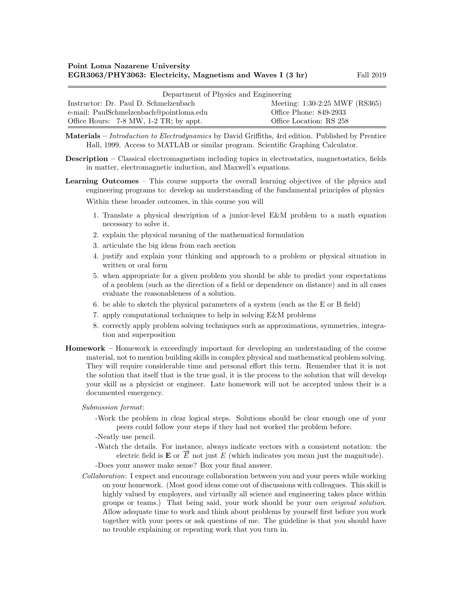| Department of Physics and Engineering      |                                |  |  |
|--------------------------------------------|--------------------------------|--|--|
| Instructor: Dr. Paul D. Schmelzenbach      | Meeting: 1:30-2:25 MWF (RS365) |  |  |
| e-mail: PaulSchmelzenbach@pointloma.edu    | Office Phone: 849-2933         |  |  |
| Office Hours: $7-8$ MW, $1-2$ TR; by appt. | Office Location: RS 258        |  |  |

Materials – Introduction to Electrodynamics by David Griffiths, 4rd edition. Published by Prentice Hall, 1999. Access to MATLAB or similar program. Scientific Graphing Calculator.

- Description Classical electromagnetism including topics in electrostatics, magnetostatics, fields in matter, electromagnetic induction, and Maxwell's equations.
- Learning Outcomes This course supports the overall learning objectives of the physics and engineering programs to: develop an understanding of the fundamental principles of physics

Within these broader outcomes, in this course you will

- 1. Translate a physical description of a junior-level E&M problem to a math equation necessary to solve it.
- 2. explain the physical meaning of the mathematical formulation
- 3. articulate the big ideas from each section
- 4. justify and explain your thinking and approach to a problem or physical situation in written or oral form
- 5. when appropriate for a given problem you should be able to predict your expectations of a problem (such as the direction of a field or dependence on distance) and in all cases evaluate the reasonableness of a solution.
- 6. be able to sketch the physical parameters of a system (such as the E or B field)
- 7. apply computational techniques to help in solving E&M problems
- 8. correctly apply problem solving techniques such as approximations, symmetries, integration and superposition
- Homework Homework is exceedingly important for developing an understanding of the course material, not to mention building skills in complex physical and mathematical problem solving. They will require considerable time and personal effort this term. Remember that it is not the solution that itself that is the true goal, it is the process to the solution that will develop your skill as a physicist or engineer. Late homework will not be accepted unless their is a documented emergency.

## Submission format:

- -Work the problem in clear logical steps. Solutions should be clear enough one of your peers could follow your steps if they had not worked the problem before.
- -Neatly use pencil.
- -Watch the details. For instance, always indicate vectors with a consistent notation: the Find details. For instance, always indicate vectors with a consistent notation. The electric field is  $\mathbf{E}$  or  $\overrightarrow{E}$  not just E (which indicates you mean just the magnitude).

-Does your answer make sense? Box your final answer.

Collaboration: I expect and encourage collaboration between you and your peers while working on your homework. (Most good ideas come out of discussions with colleagues. This skill is highly valued by employers, and virtually all science and engineering takes place within groups or teams.) That being said, your work should be your own original solution. Allow adequate time to work and think about problems by yourself first before you work together with your peers or ask questions of me. The guideline is that you should have no trouble explaining or repeating work that you turn in.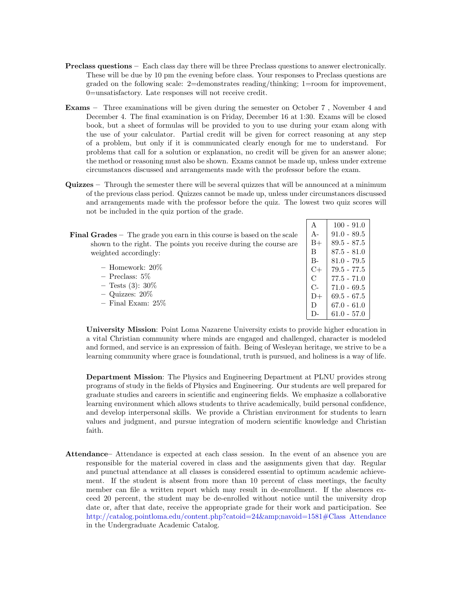- Preclass questions Each class day there will be three Preclass questions to answer electronically. These will be due by 10 pm the evening before class. Your responses to Preclass questions are graded on the following scale: 2=demonstrates reading/thinking; 1=room for improvement, 0=unsatisfactory. Late responses will not receive credit.
- Exams Three examinations will be given during the semester on October 7 , November 4 and December 4. The final examination is on Friday, December 16 at 1:30. Exams will be closed book, but a sheet of formulas will be provided to you to use during your exam along with the use of your calculator. Partial credit will be given for correct reasoning at any step of a problem, but only if it is communicated clearly enough for me to understand. For problems that call for a solution or explanation, no credit will be given for an answer alone; the method or reasoning must also be shown. Exams cannot be made up, unless under extreme circumstances discussed and arrangements made with the professor before the exam.
- Quizzes Through the semester there will be several quizzes that will be announced at a minimum of the previous class period. Quizzes cannot be made up, unless under circumstances discussed and arrangements made with the professor before the quiz. The lowest two quiz scores will not be included in the quiz portion of the grade.

|                                                                               | А             | $100 - 91.0$  |
|-------------------------------------------------------------------------------|---------------|---------------|
| <b>Final Grades</b> – The grade you earn in this course is based on the scale | $A-$          | $91.0 - 89.5$ |
| shown to the right. The points you receive during the course are              | $B+$          | $89.5 - 87.5$ |
| weighted accordingly:                                                         | B             | $87.5 - 81.0$ |
|                                                                               | $B -$         | $81.0 - 79.5$ |
| $-$ Homework: $20\%$                                                          | $C+$          | $79.5 - 77.5$ |
| $-$ Preclass: 5\%                                                             | $\mathcal{C}$ | $77.5 - 71.0$ |
| $-$ Tests (3): 30\%                                                           | $C$ -         | $71.0 - 69.5$ |
| $-$ Quizzes: $20\%$                                                           | $D+$          | $69.5 - 67.5$ |
| $-$ Final Exam: $25\%$                                                        | D             | $67.0 - 61.0$ |
|                                                                               | D-            | $61.0 - 57.0$ |

University Mission: Point Loma Nazarene University exists to provide higher education in a vital Christian community where minds are engaged and challenged, character is modeled and formed, and service is an expression of faith. Being of Wesleyan heritage, we strive to be a learning community where grace is foundational, truth is pursued, and holiness is a way of life.

Department Mission: The Physics and Engineering Department at PLNU provides strong programs of study in the fields of Physics and Engineering. Our students are well prepared for graduate studies and careers in scientific and engineering fields. We emphasize a collaborative learning environment which allows students to thrive academically, build personal confidence, and develop interpersonal skills. We provide a Christian environment for students to learn values and judgment, and pursue integration of modern scientific knowledge and Christian faith.

Attendance– Attendance is expected at each class session. In the event of an absence you are responsible for the material covered in class and the assignments given that day. Regular and punctual attendance at all classes is considered essential to optimum academic achievement. If the student is absent from more than 10 percent of class meetings, the faculty member can file a written report which may result in de-enrollment. If the absences exceed 20 percent, the student may be de-enrolled without notice until the university drop date or, after that date, receive the appropriate grade for their work and participation. See [http://catalog.pointloma.edu/content.php?catoid=24&navoid=1581#Class Attendance](http://catalog.pointloma.edu/content.php?catoid=24&navoid=1581) in the Undergraduate Academic Catalog.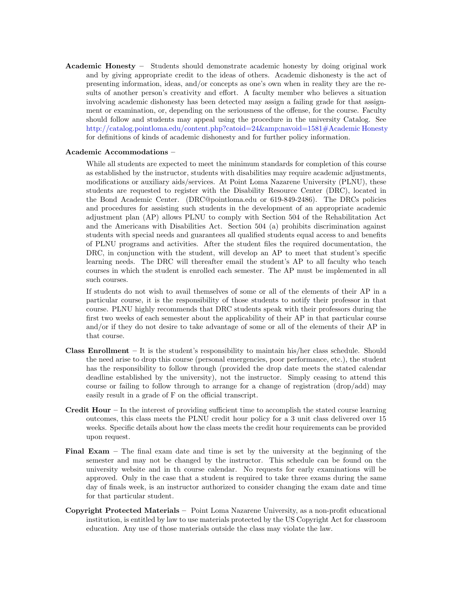Academic Honesty – Students should demonstrate academic honesty by doing original work and by giving appropriate credit to the ideas of others. Academic dishonesty is the act of presenting information, ideas, and/or concepts as one's own when in reality they are the results of another person's creativity and effort. A faculty member who believes a situation involving academic dishonesty has been detected may assign a failing grade for that assignment or examination, or, depending on the seriousness of the offense, for the course. Faculty should follow and students may appeal using the procedure in the university Catalog. See [http://catalog.pointloma.edu/content.php?catoid=24&navoid=1581#Academic Honesty](http://catalog.pointloma.edu/content.php?catoid=24&navoid=1581) for definitions of kinds of academic dishonesty and for further policy information.

## Academic Accommodations –

While all students are expected to meet the minimum standards for completion of this course as established by the instructor, students with disabilities may require academic adjustments, modifications or auxiliary aids/services. At Point Loma Nazarene University (PLNU), these students are requested to register with the Disability Resource Center (DRC), located in the Bond Academic Center. (DRC@pointloma.edu or 619-849-2486). The DRCs policies and procedures for assisting such students in the development of an appropriate academic adjustment plan (AP) allows PLNU to comply with Section 504 of the Rehabilitation Act and the Americans with Disabilities Act. Section 504 (a) prohibits discrimination against students with special needs and guarantees all qualified students equal access to and benefits of PLNU programs and activities. After the student files the required documentation, the DRC, in conjunction with the student, will develop an AP to meet that student's specific learning needs. The DRC will thereafter email the student's AP to all faculty who teach courses in which the student is enrolled each semester. The AP must be implemented in all such courses.

If students do not wish to avail themselves of some or all of the elements of their AP in a particular course, it is the responsibility of those students to notify their professor in that course. PLNU highly recommends that DRC students speak with their professors during the first two weeks of each semester about the applicability of their AP in that particular course and/or if they do not desire to take advantage of some or all of the elements of their AP in that course.

- **Class Enrollment** It is the student's responsibility to maintain his/her class schedule. Should the need arise to drop this course (personal emergencies, poor performance, etc.), the student has the responsibility to follow through (provided the drop date meets the stated calendar deadline established by the university), not the instructor. Simply ceasing to attend this course or failing to follow through to arrange for a change of registration (drop/add) may easily result in a grade of F on the official transcript.
- Credit Hour In the interest of providing sufficient time to accomplish the stated course learning outcomes, this class meets the PLNU credit hour policy for a 3 unit class delivered over 15 weeks. Specific details about how the class meets the credit hour requirements can be provided upon request.
- Final Exam The final exam date and time is set by the university at the beginning of the semester and may not be changed by the instructor. This schedule can be found on the university website and in th course calendar. No requests for early examinations will be approved. Only in the case that a student is required to take three exams during the same day of finals week, is an instructor authorized to consider changing the exam date and time for that particular student.
- Copyright Protected Materials Point Loma Nazarene University, as a non-profit educational institution, is entitled by law to use materials protected by the US Copyright Act for classroom education. Any use of those materials outside the class may violate the law.